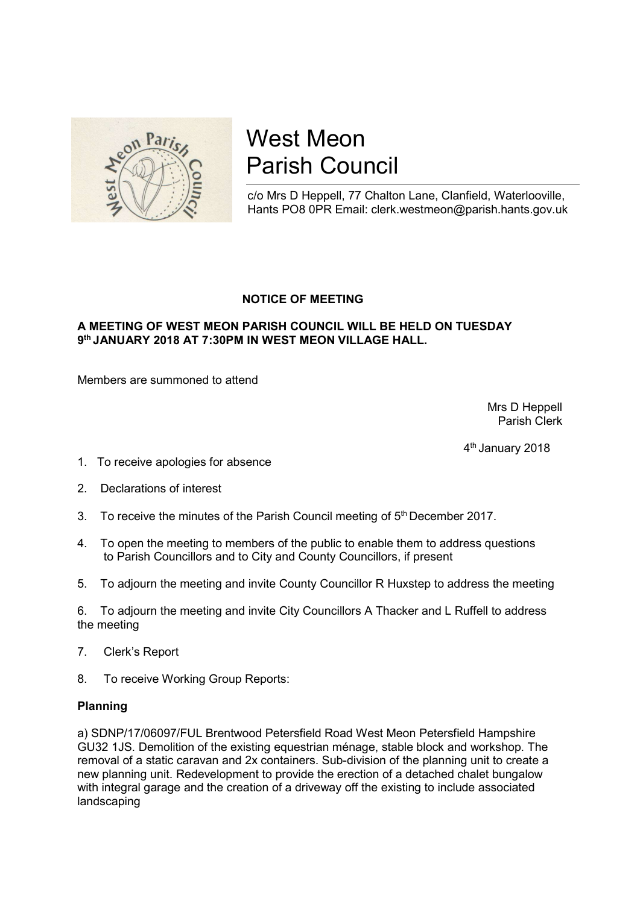

# West Meon Parish Council

c/o Mrs D Heppell, 77 Chalton Lane, Clanfield, Waterlooville, Hants PO8 0PR Email: clerk.westmeon@parish.hants.gov.uk

## NOTICE OF MEETING

## A MEETING OF WEST MEON PARISH COUNCIL WILL BE HELD ON TUESDAY 9th JANUARY 2018 AT 7:30PM IN WEST MEON VILLAGE HALL.

Members are summoned to attend

 Mrs D Heppell Parish Clerk

4th January 2018

- 1. To receive apologies for absence
- 2. Declarations of interest
- 3. To receive the minutes of the Parish Council meeting of  $5<sup>th</sup>$  December 2017.
- 4. To open the meeting to members of the public to enable them to address questions to Parish Councillors and to City and County Councillors, if present
- 5. To adjourn the meeting and invite County Councillor R Huxstep to address the meeting

6. To adjourn the meeting and invite City Councillors A Thacker and L Ruffell to address the meeting

- 7. Clerk's Report
- 8. To receive Working Group Reports:

#### Planning

a) SDNP/17/06097/FUL Brentwood Petersfield Road West Meon Petersfield Hampshire GU32 1JS. Demolition of the existing equestrian ménage, stable block and workshop. The removal of a static caravan and 2x containers. Sub-division of the planning unit to create a new planning unit. Redevelopment to provide the erection of a detached chalet bungalow with integral garage and the creation of a driveway off the existing to include associated landscaping